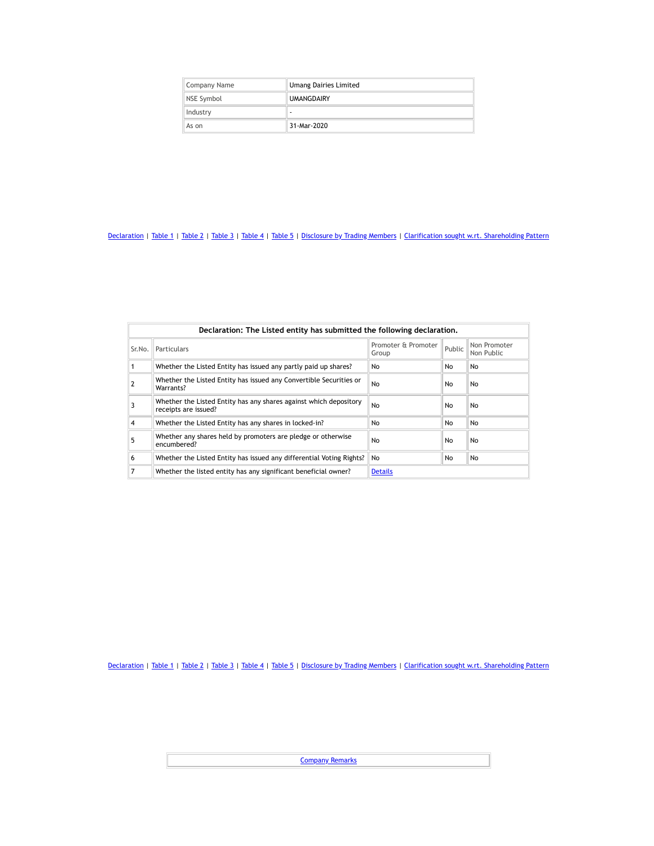| Company Name | <b>Umang Dairies Limited</b> |  |  |  |
|--------------|------------------------------|--|--|--|
| NSE Symbol   | <b>UMANGDAIRY</b>            |  |  |  |
| Industry     | ۰                            |  |  |  |
| As on        | 31-Mar-2020                  |  |  |  |

| Declaration: The Listed entity has submitted the following declaration. |                                                                                           |                              |        |                            |  |  |  |  |  |
|-------------------------------------------------------------------------|-------------------------------------------------------------------------------------------|------------------------------|--------|----------------------------|--|--|--|--|--|
| Sr.No.                                                                  | Particulars                                                                               | Promoter & Promoter<br>Group | Public | Non Promoter<br>Non Public |  |  |  |  |  |
|                                                                         | Whether the Listed Entity has issued any partly paid up shares?                           | No                           | No.    | No                         |  |  |  |  |  |
|                                                                         | Whether the Listed Entity has issued any Convertible Securities or<br>Warrants?           | No                           | No.    | No                         |  |  |  |  |  |
|                                                                         | Whether the Listed Entity has any shares against which depository<br>receipts are issued? | No                           | No     | No                         |  |  |  |  |  |
| 4                                                                       | Whether the Listed Entity has any shares in locked-in?                                    | No                           | No     | No                         |  |  |  |  |  |
| 5                                                                       | Whether any shares held by promoters are pledge or otherwise<br>encumbered?               | No                           | No     | No                         |  |  |  |  |  |
| 6                                                                       | Whether the Listed Entity has issued any differential Voting Rights?                      | No.                          | No     | No                         |  |  |  |  |  |
|                                                                         | Whether the listed entity has any significant beneficial owner?                           | <b>Details</b>               |        |                            |  |  |  |  |  |

[Declaration](https://www1.nseindia.com/corporates/shldStructure/patterns.html?radio_btn=company¶m=UMANGDAIRY#) | [Table](https://www1.nseindia.com/corporates/shldStructure/patterns.html?radio_btn=company¶m=UMANGDAIRY#) 1 | Table 2 | Table 3 | Table 4 | Table 5 | [Disclosure](https://www1.nseindia.com/corporates/shldStructure/patterns.html?radio_btn=company¶m=UMANGDAIRY#) by Trading Members | Clarification sought w.rt. [Shareholding](https://www1.nseindia.com/corporates/shldStructure/patterns.html?radio_btn=company¶m=UMANGDAIRY#) Pattern

**[Company](https://www1.nseindia.com/corporates/shldStructure/patterns.html?radio_btn=company¶m=UMANGDAIRY#) Remarks**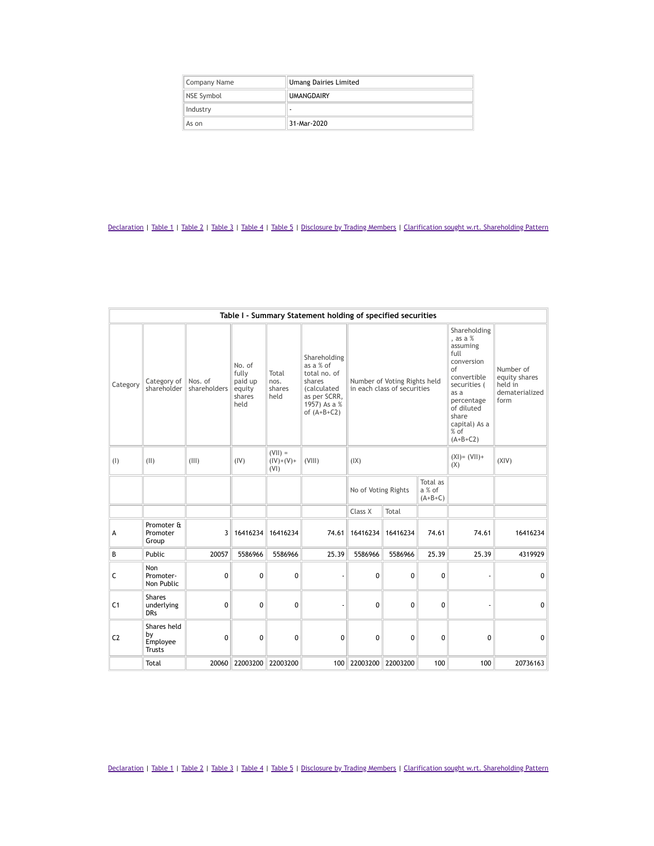| Company Name | <b>Umang Dairies Limited</b> |
|--------------|------------------------------|
| NSE Symbol   | <b>UMANGDAIRY</b>            |
| Industry     | -                            |
| As on        | 31-Mar-2020                  |

| Table I - Summary Statement holding of specified securities |                                                |                         |                                                        |                                  |                                                                                                                     |                     |                                                             |                                 |                                                                                                                                                                                         |                                                                 |
|-------------------------------------------------------------|------------------------------------------------|-------------------------|--------------------------------------------------------|----------------------------------|---------------------------------------------------------------------------------------------------------------------|---------------------|-------------------------------------------------------------|---------------------------------|-----------------------------------------------------------------------------------------------------------------------------------------------------------------------------------------|-----------------------------------------------------------------|
| Category                                                    | Category of<br>shareholder                     | Nos. of<br>shareholders | No. of<br>fully<br>paid up<br>equity<br>shares<br>held | Total<br>nos.<br>shares<br>held  | Shareholding<br>as a % of<br>total no. of<br>shares<br>(calculated<br>as per SCRR,<br>1957) As a %<br>of $(A+B+C2)$ |                     | Number of Voting Rights held<br>in each class of securities |                                 | Shareholding<br>, as a $%$<br>assuming<br>full<br>conversion<br>of<br>convertible<br>securities (<br>as a<br>percentage<br>of diluted<br>share<br>capital) As a<br>$%$ of<br>$(A+B+C2)$ | Number of<br>equity shares<br>held in<br>dematerialized<br>form |
| (1)                                                         | (11)                                           | (III)                   | (IV)                                                   | $(VII) =$<br>$(IV)+(V)+$<br>(VI) | (VIII)                                                                                                              | (IX)                |                                                             |                                 | $(XI) = (VII) +$<br>(X)                                                                                                                                                                 | (XIV)                                                           |
|                                                             |                                                |                         |                                                        |                                  |                                                                                                                     | No of Voting Rights |                                                             | Total as<br>a % of<br>$(A+B+C)$ |                                                                                                                                                                                         |                                                                 |
|                                                             |                                                |                         |                                                        |                                  |                                                                                                                     | Class X             | Total                                                       |                                 |                                                                                                                                                                                         |                                                                 |
| A                                                           | Promoter &<br>Promoter<br>Group                | 3                       | 16416234                                               | 16416234                         | 74.61                                                                                                               | 16416234            | 16416234                                                    | 74.61                           | 74.61                                                                                                                                                                                   | 16416234                                                        |
| B                                                           | Public                                         | 20057                   | 5586966                                                | 5586966                          | 25.39                                                                                                               | 5586966             | 5586966                                                     | 25.39                           | 25.39                                                                                                                                                                                   | 4319929                                                         |
| С                                                           | <b>Non</b><br>Promoter-<br>Non Public          | $\mathbf{0}$            | 0                                                      | 0                                |                                                                                                                     | 0                   | 0                                                           | 0                               |                                                                                                                                                                                         | 0                                                               |
| C <sub>1</sub>                                              | <b>Shares</b><br>underlying<br><b>DRs</b>      | $\mathbf{0}$            | 0                                                      | 0                                |                                                                                                                     | $\Omega$            | 0                                                           | 0                               |                                                                                                                                                                                         | 0                                                               |
| C <sub>2</sub>                                              | Shares held<br>by<br>Employee<br><b>Trusts</b> | $\mathbf{0}$            | 0                                                      | $\mathbf 0$                      | 0                                                                                                                   | 0                   | 0                                                           | 0                               | 0                                                                                                                                                                                       | 0                                                               |
|                                                             | Total                                          | 20060                   | 22003200                                               | 22003200                         | 100                                                                                                                 | 22003200            | 22003200                                                    | 100                             | 100                                                                                                                                                                                     | 20736163                                                        |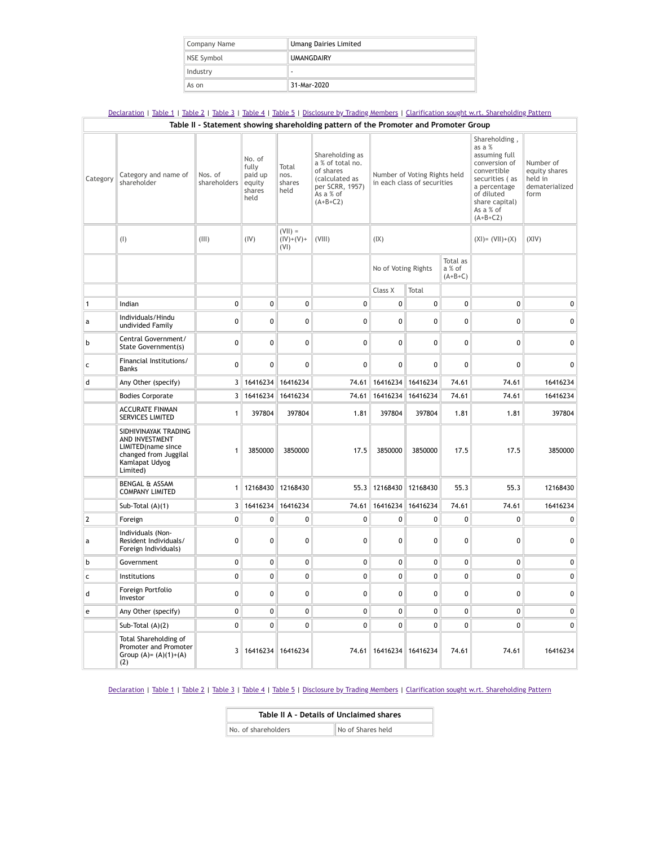| Company Name | <b>Umang Dairies Limited</b> |  |  |  |
|--------------|------------------------------|--|--|--|
| NSE Symbol   | <b>UMANGDAIRY</b>            |  |  |  |
| Industry     | ۰                            |  |  |  |
| As on        | 31-Mar-2020                  |  |  |  |

|              | Declaration   Table 1   Table 2   Table 3   Table 4   Table 5   Disclosure by Trading Members   Clarification sought w.rt. Shareholding Pattern |                         |                                                        |                                  |                                                                                                                  |                                                             |                   |                                 |                                                                                                                                                                       |                                                                 |
|--------------|-------------------------------------------------------------------------------------------------------------------------------------------------|-------------------------|--------------------------------------------------------|----------------------------------|------------------------------------------------------------------------------------------------------------------|-------------------------------------------------------------|-------------------|---------------------------------|-----------------------------------------------------------------------------------------------------------------------------------------------------------------------|-----------------------------------------------------------------|
|              |                                                                                                                                                 |                         |                                                        |                                  | Table II - Statement showing shareholding pattern of the Promoter and Promoter Group                             |                                                             |                   |                                 |                                                                                                                                                                       |                                                                 |
| Category     | Category and name of<br>shareholder                                                                                                             | Nos. of<br>shareholders | No. of<br>fully<br>paid up<br>equity<br>shares<br>held | Total<br>nos.<br>shares<br>held  | Shareholding as<br>a % of total no.<br>of shares<br>(calculated as<br>per SCRR, 1957)<br>As a % of<br>$(A+B+C2)$ | Number of Voting Rights held<br>in each class of securities |                   |                                 | Shareholding,<br>as a %<br>assuming full<br>conversion of<br>convertible<br>securities (as<br>a percentage<br>of diluted<br>share capital)<br>As a % of<br>$(A+B+C2)$ | Number of<br>equity shares<br>held in<br>dematerialized<br>form |
|              | (1)                                                                                                                                             | (III)                   | (IV)                                                   | $(V  ) =$<br>$(IV)+(V)+$<br>(VI) | (VIII)                                                                                                           | (IX)                                                        |                   |                                 | $(XI) = (VII)+(X)$                                                                                                                                                    | (XIV)                                                           |
|              |                                                                                                                                                 |                         |                                                        |                                  |                                                                                                                  | No of Voting Rights                                         |                   | Total as<br>a % of<br>$(A+B+C)$ |                                                                                                                                                                       |                                                                 |
|              |                                                                                                                                                 |                         |                                                        |                                  |                                                                                                                  | Class X                                                     | Total             |                                 |                                                                                                                                                                       |                                                                 |
| 1            | Indian                                                                                                                                          | $\mathbf{0}$            | 0                                                      | 0                                | $\mathbf 0$                                                                                                      | 0                                                           | 0                 | 0                               | 0                                                                                                                                                                     | 0                                                               |
| a            | Individuals/Hindu<br>undivided Family                                                                                                           | 0                       | 0                                                      | $\pmb{0}$                        | $\mathbf{0}$                                                                                                     | 0                                                           | 0                 | $\mathbf{0}$                    | 0                                                                                                                                                                     | 0                                                               |
| b            | Central Government/<br>State Government(s)                                                                                                      | 0                       | 0                                                      | 0                                | $\mathbf 0$                                                                                                      | 0                                                           | 0                 | 0                               | 0                                                                                                                                                                     | 0                                                               |
| $\mathsf{C}$ | Financial Institutions/<br><b>Banks</b>                                                                                                         | $\mathbf{0}$            | $\mathbf{0}$                                           | 0                                | $\mathbf 0$                                                                                                      | 0                                                           | 0                 | $\mathbf 0$                     | 0                                                                                                                                                                     | 0                                                               |
| d            | Any Other (specify)                                                                                                                             | 3                       | 16416234                                               | 16416234                         | 74.61                                                                                                            |                                                             | 16416234 16416234 | 74.61                           | 74.61                                                                                                                                                                 | 16416234                                                        |
|              | <b>Bodies Corporate</b>                                                                                                                         | 3                       | 16416234                                               | 16416234                         | 74.61                                                                                                            | 16416234                                                    | 16416234          | 74.61                           | 74.61                                                                                                                                                                 | 16416234                                                        |
|              | <b>ACCURATE FINMAN</b><br><b>SERVICES LIMITED</b>                                                                                               | 1                       | 397804                                                 | 397804                           | 1.81                                                                                                             | 397804                                                      | 397804            | 1.81                            | 1.81                                                                                                                                                                  | 397804                                                          |
|              | SIDHIVINAYAK TRADING<br>AND INVESTMENT<br>LIMITED(name since<br>changed from Juggilal<br>Kamlapat Udyog<br>Limited)                             | 1                       | 3850000                                                | 3850000                          | 17.5                                                                                                             | 3850000                                                     | 3850000           | 17.5                            | 17.5                                                                                                                                                                  | 3850000                                                         |
|              | <b>BENGAL &amp; ASSAM</b><br><b>COMPANY LIMITED</b>                                                                                             | $\mathbf{1}$            | 12168430                                               | 12168430                         | 55.3                                                                                                             | 12168430                                                    | 12168430          | 55.3                            | 55.3                                                                                                                                                                  | 12168430                                                        |
|              | Sub-Total (A)(1)                                                                                                                                | 3                       | 16416234                                               | 16416234                         | 74.61                                                                                                            |                                                             | 16416234 16416234 | 74.61                           | 74.61                                                                                                                                                                 | 16416234                                                        |
| 2            | Foreign                                                                                                                                         | $\mathbf 0$             | $\pmb{0}$                                              | $\mathbf 0$                      | $\mathbf{0}$                                                                                                     | 0                                                           | 0                 | $\pmb{0}$                       | 0                                                                                                                                                                     | 0                                                               |
| а            | Individuals (Non-<br>Resident Individuals/<br>Foreign Individuals)                                                                              | $\mathbf{0}$            | 0                                                      | $\mathbf{0}$                     | $\mathbf{0}$                                                                                                     | 0                                                           | 0                 | $\Omega$                        | $\Omega$                                                                                                                                                              | 0                                                               |
| b            | Government                                                                                                                                      | 0                       | $\mathbf{0}$                                           | $\mathbf{0}$                     | $\mathbf 0$                                                                                                      | 0                                                           | 0                 | $\mathbf 0$                     | 0                                                                                                                                                                     | 0                                                               |
| $\mathsf{C}$ | Institutions                                                                                                                                    | 0                       | 0                                                      | 0                                | 0                                                                                                                | 0                                                           | 0                 | 0                               | 0                                                                                                                                                                     | 0                                                               |
| d            | Foreign Portfolio<br>Investor                                                                                                                   | 0                       | $\mathbf{0}$                                           | 0                                | $\mathbf{0}$                                                                                                     | 0                                                           | 0                 | $\mathbf 0$                     | 0                                                                                                                                                                     | 0                                                               |
| e            | Any Other (specify)                                                                                                                             | $\mathbf{0}$            | $\mathbf{0}$                                           | $\mathbf{0}$                     | $\mathbf 0$                                                                                                      | 0                                                           | 0                 | $\mathbf 0$                     | 0                                                                                                                                                                     | 0                                                               |
|              | Sub-Total $(A)(2)$                                                                                                                              | 0                       | 0                                                      | $\mathbf{0}$                     | 0                                                                                                                | 0                                                           | 0                 | 0                               | $\Omega$                                                                                                                                                              | 0                                                               |
|              | Total Shareholding of<br>Promoter and Promoter<br>Group $(A) = (A)(1)+(A)$<br>(2)                                                               | 3                       | 16416234                                               | 16416234                         | 74.61                                                                                                            |                                                             | 16416234 16416234 | 74.61                           | 74.61                                                                                                                                                                 | 16416234                                                        |

| Table II A - Details of Unclaimed shares |                   |  |  |  |  |
|------------------------------------------|-------------------|--|--|--|--|
| No. of shareholders                      | No of Shares held |  |  |  |  |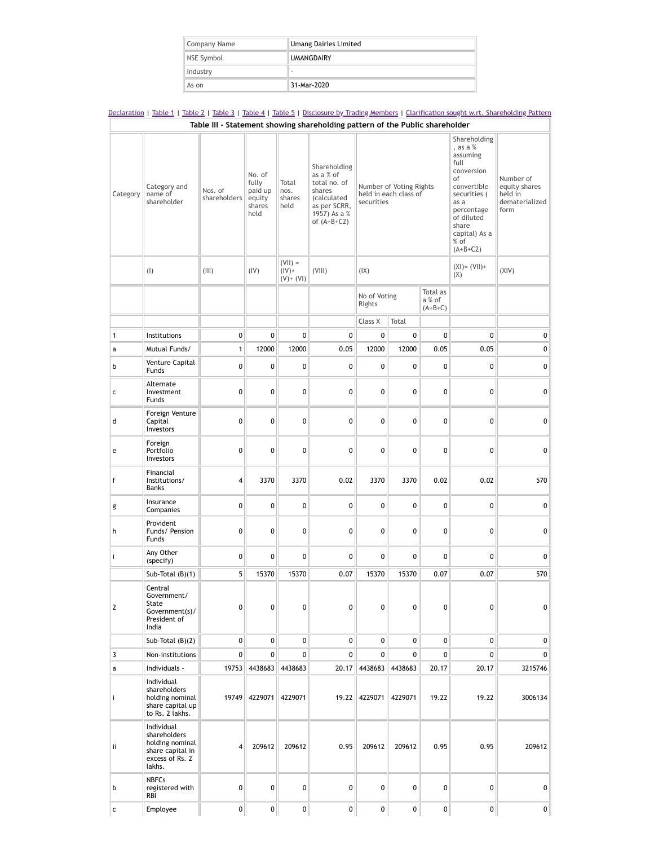| Company Name | <b>Umang Dairies Limited</b> |  |  |
|--------------|------------------------------|--|--|
| NSE Symbol   | <b>UMANGDAIRY</b>            |  |  |
| Industry     | ۰                            |  |  |
| As on        | 31-Mar-2020                  |  |  |

|              |                                                                                                | Table III - Statement showing shareholding pattern of the Public shareholder |                                                        |                                       |                                                                                                                            |                                                                |              |                                 |                                                                                                                                                                                     |                                                                 |
|--------------|------------------------------------------------------------------------------------------------|------------------------------------------------------------------------------|--------------------------------------------------------|---------------------------------------|----------------------------------------------------------------------------------------------------------------------------|----------------------------------------------------------------|--------------|---------------------------------|-------------------------------------------------------------------------------------------------------------------------------------------------------------------------------------|-----------------------------------------------------------------|
| Category     | Category and<br>name of<br>shareholder                                                         | Nos. of<br>shareholders                                                      | No. of<br>fully<br>paid up<br>equity<br>shares<br>held | Total<br>nos.<br>shares<br>held       | Shareholding<br>as a % of<br>total no. of<br>shares<br><i>(calculated</i><br>as per SCRR,<br>1957) As a %<br>of $(A+B+C2)$ | Number of Voting Rights<br>held in each class of<br>securities |              |                                 | Shareholding<br>, as a %<br>assuming<br>full<br>conversion<br>of<br>convertible<br>securities (<br>as a<br>percentage<br>of diluted<br>share<br>capital) As a<br>% of<br>$(A+B+C2)$ | Number of<br>equity shares<br>held in<br>dematerialized<br>form |
|              | (1)                                                                                            | (III)                                                                        | (IV)                                                   | $(VII) =$<br>$(IV)$ +<br>$(V) + (VI)$ | (VIII)                                                                                                                     | (IX)                                                           |              |                                 | $(XI) = (VII) +$<br>(X)                                                                                                                                                             | (XIV)                                                           |
|              |                                                                                                |                                                                              |                                                        |                                       |                                                                                                                            | No of Voting<br>Rights                                         |              | Total as<br>a % of<br>$(A+B+C)$ |                                                                                                                                                                                     |                                                                 |
|              |                                                                                                |                                                                              |                                                        |                                       |                                                                                                                            | Class X                                                        | Total        |                                 |                                                                                                                                                                                     |                                                                 |
| $\mathbf{1}$ | Institutions                                                                                   | 0                                                                            | 0                                                      | 0                                     | 0                                                                                                                          | 0                                                              | 0            | 0                               | $\mathbf 0$                                                                                                                                                                         | 0                                                               |
| a            | Mutual Funds/                                                                                  | $\mathbf{1}$                                                                 | 12000                                                  | 12000                                 | 0.05                                                                                                                       | 12000                                                          | 12000        | 0.05                            | 0.05                                                                                                                                                                                | 0                                                               |
| b            | Venture Capital<br>Funds                                                                       | 0                                                                            | 0                                                      | 0                                     | 0                                                                                                                          | 0                                                              | 0            | 0                               | $\pmb{0}$                                                                                                                                                                           | 0                                                               |
| c            | Alternate<br>Investment<br>Funds                                                               | 0                                                                            | 0                                                      | 0                                     | 0                                                                                                                          | 0                                                              | 0            | 0                               | 0                                                                                                                                                                                   | 0                                                               |
| d            | Foreign Venture<br>Capital<br>Investors                                                        | 0                                                                            | 0                                                      | 0                                     | 0                                                                                                                          | 0                                                              | 0            | 0                               | 0                                                                                                                                                                                   | 0                                                               |
| e            | Foreign<br>Portfolio<br>Investors                                                              | 0                                                                            | 0                                                      | 0                                     | 0                                                                                                                          | 0                                                              | 0            | 0                               | 0                                                                                                                                                                                   | 0                                                               |
| f            | Financial<br>Institutions/<br><b>Banks</b>                                                     | 4                                                                            | 3370                                                   | 3370                                  | 0.02                                                                                                                       | 3370                                                           | 3370         | 0.02                            | 0.02                                                                                                                                                                                | 570                                                             |
| g            | Insurance<br>Companies                                                                         | 0                                                                            | 0                                                      | 0                                     | 0                                                                                                                          | 0                                                              | 0            | 0                               | 0                                                                                                                                                                                   | 0                                                               |
| h            | Provident<br>Funds/ Pension<br>Funds                                                           | 0                                                                            | 0                                                      | 0                                     | 0                                                                                                                          | 0                                                              | 0            | 0                               | 0                                                                                                                                                                                   | 0                                                               |
| i            | Any Other<br>(specify)                                                                         | 0                                                                            | 0                                                      | 0                                     | 0                                                                                                                          | 0                                                              | 0            | 0                               | 0                                                                                                                                                                                   | 0                                                               |
|              | Sub-Total $(B)(1)$                                                                             | 5                                                                            | 15370                                                  | 15370                                 | 0.07                                                                                                                       | 15370                                                          | 15370        | 0.07                            | 0.07                                                                                                                                                                                | 570                                                             |
| 2            | Central<br>Government/<br>State<br>Government(s)/<br>President of<br>India                     | 0                                                                            | 0                                                      | 0                                     | 0                                                                                                                          | 0                                                              | 0            | 0                               | 0                                                                                                                                                                                   | 0                                                               |
|              | Sub-Total $(B)(2)$                                                                             | $\mathbf 0$                                                                  | 0                                                      | 0                                     | 0                                                                                                                          | $\mathbf 0$                                                    | 0            | 0                               | $\mathbf{0}$                                                                                                                                                                        | 0                                                               |
| 3            | Non-institutions                                                                               | 0                                                                            | 0                                                      | 0                                     | 0                                                                                                                          | 0                                                              | 0            | 0                               | 0                                                                                                                                                                                   | 0                                                               |
| a            | Individuals -                                                                                  | 19753                                                                        | 4438683                                                | 4438683                               | 20.17                                                                                                                      | 4438683                                                        | 4438683      | 20.17                           | 20.17                                                                                                                                                                               | 3215746                                                         |
| i            | Individual<br>shareholders<br>holding nominal<br>share capital up<br>to Rs. 2 lakhs.           | 19749                                                                        | 4229071                                                | 4229071                               | 19.22                                                                                                                      | 4229071                                                        | 4229071      | 19.22                           | 19.22                                                                                                                                                                               | 3006134                                                         |
| ii.          | Individual<br>shareholders<br>holding nominal<br>share capital in<br>excess of Rs. 2<br>lakhs. | $\overline{4}$                                                               | 209612                                                 | 209612                                | 0.95                                                                                                                       | 209612                                                         | 209612       | 0.95                            | 0.95                                                                                                                                                                                | 209612                                                          |
| b            | <b>NBFCs</b><br>registered with<br>RBI                                                         | 0                                                                            | 0                                                      | 0                                     | 0                                                                                                                          | 0                                                              | 0            | 0                               | 0                                                                                                                                                                                   | 0                                                               |
|              |                                                                                                | 0                                                                            | 0                                                      | $\mathbf{0}$                          | 0                                                                                                                          | $\mathbf{0}$                                                   | $\mathbf{0}$ | 0                               |                                                                                                                                                                                     | 0                                                               |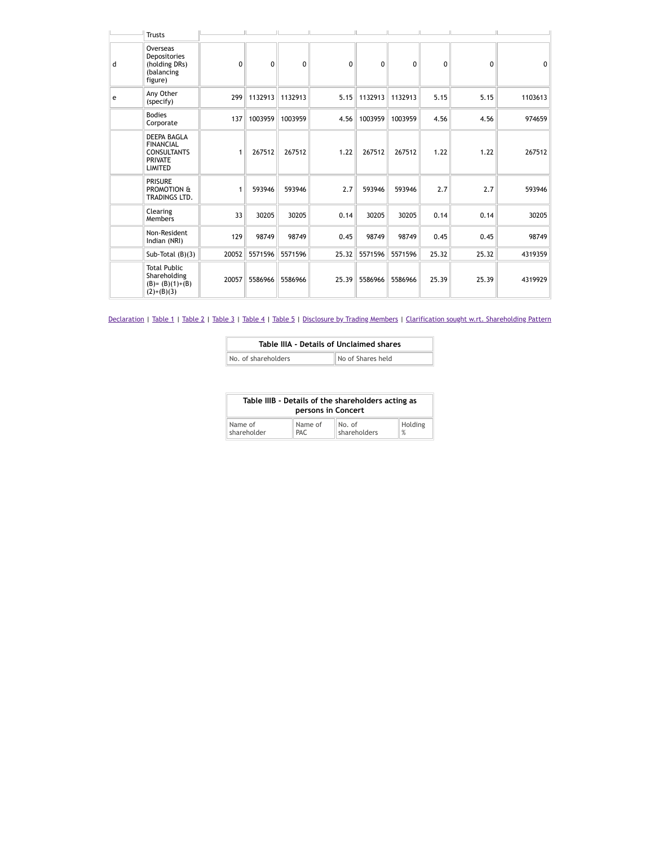|   | <b>Trusts</b>                                                                                    |       | The series | $\mathbb{H}$ . | $\mathbb{H}$ .<br><b>Contract Contract Inc.</b> |          | $\mathbf{H}$ | $\mathbb{H}$ |          |              |
|---|--------------------------------------------------------------------------------------------------|-------|------------|----------------|-------------------------------------------------|----------|--------------|--------------|----------|--------------|
| d | Overseas<br>Depositories<br>(holding DRs)<br>(balancing<br>figure)                               | 0     | 0          | 0              | 0                                               | $\Omega$ | $\Omega$     | $\Omega$     | $\Omega$ | $\mathbf{0}$ |
| e | Any Other<br>(specify)                                                                           | 299   | 1132913    | 1132913        | 5.15                                            | 1132913  | 1132913      | 5.15         | 5.15     | 1103613      |
|   | <b>Bodies</b><br>Corporate                                                                       | 137   | 1003959    | 1003959        | 4.56                                            | 1003959  | 1003959      | 4.56         | 4.56     | 974659       |
|   | <b>DEEPA BAGLA</b><br><b>FINANCIAL</b><br><b>CONSULTANTS</b><br><b>PRIVATE</b><br><b>LIMITED</b> | 1     | 267512     | 267512         | 1.22                                            | 267512   | 267512       | 1.22         | 1.22     | 267512       |
|   | <b>PRISURE</b><br>PROMOTION &<br>TRADINGS LTD.                                                   | 1     | 593946     | 593946         | 2.7                                             | 593946   | 593946       | 2.7          | 2.7      | 593946       |
|   | Clearing<br><b>Members</b>                                                                       | 33    | 30205      | 30205          | 0.14                                            | 30205    | 30205        | 0.14         | 0.14     | 30205        |
|   | Non-Resident<br>Indian (NRI)                                                                     | 129   | 98749      | 98749          | 0.45                                            | 98749    | 98749        | 0.45         | 0.45     | 98749        |
|   | Sub-Total $(B)(3)$                                                                               | 20052 | 5571596    | 5571596        | 25.32                                           | 5571596  | 5571596      | 25.32        | 25.32    | 4319359      |
|   | <b>Total Public</b><br>Shareholding<br>$(B)=(B)(1)+(B)$<br>$(2)+(B)(3)$                          | 20057 | 5586966    | 5586966        | 25.39                                           | 5586966  | 5586966      | 25.39        | 25.39    | 4319929      |

| Table IIIA - Details of Unclaimed shares |                   |  |  |  |  |
|------------------------------------------|-------------------|--|--|--|--|
| No. of shareholders                      | No of Shares held |  |  |  |  |

|             | persons in Concert | Table IIIB - Details of the shareholders acting as |         |  |  |  |  |
|-------------|--------------------|----------------------------------------------------|---------|--|--|--|--|
| Name of     | Name of            | No. of<br>shareholders                             | Holding |  |  |  |  |
| shareholder | PAC.               |                                                    | %       |  |  |  |  |